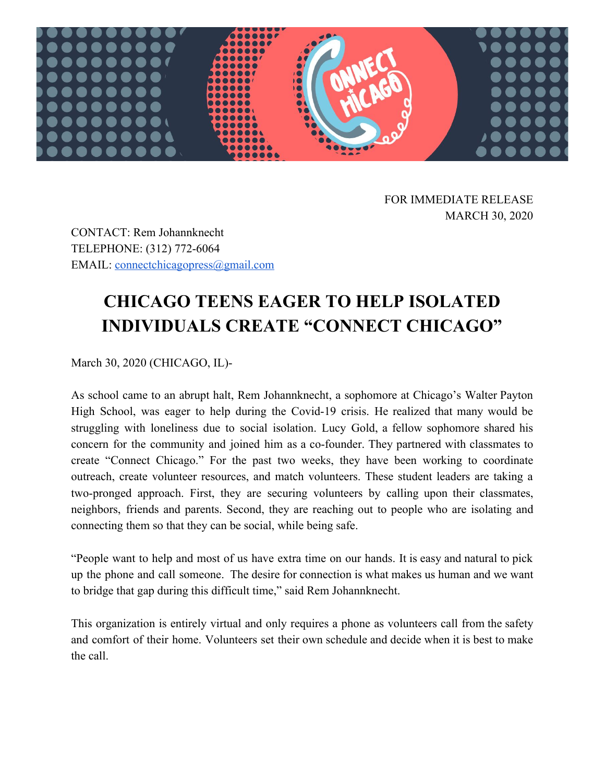

FOR IMMEDIATE RELEASE MARCH 30, 2020

CONTACT: Rem Johannknecht TELEPHONE: (312) 772-6064 EMAIL: [connectchicagopress@gmail.com](mailto:connectchicagoinfo@gmail.com)

## **CHICAGO TEENS EAGER TO HELP ISOLATED INDIVIDUALS CREATE "CONNECT CHICAGO"**

March 30, 2020 (CHICAGO, IL)-

As school came to an abrupt halt, Rem Johannknecht, a sophomore at Chicago's Walter Payton High School, was eager to help during the Covid-19 crisis. He realized that many would be struggling with loneliness due to social isolation. Lucy Gold, a fellow sophomore shared his concern for the community and joined him as a co-founder. They partnered with classmates to create "Connect Chicago." For the past two weeks, they have been working to coordinate outreach, create volunteer resources, and match volunteers. These student leaders are taking a two-pronged approach. First, they are securing volunteers by calling upon their classmates, neighbors, friends and parents. Second, they are reaching out to people who are isolating and connecting them so that they can be social, while being safe.

"People want to help and most of us have extra time on our hands. It is easy and natural to pick up the phone and call someone. The desire for connection is what makes us human and we want to bridge that gap during this difficult time," said Rem Johannknecht.

This organization is entirely virtual and only requires a phone as volunteers call from the safety and comfort of their home. Volunteers set their own schedule and decide when it is best to make the call.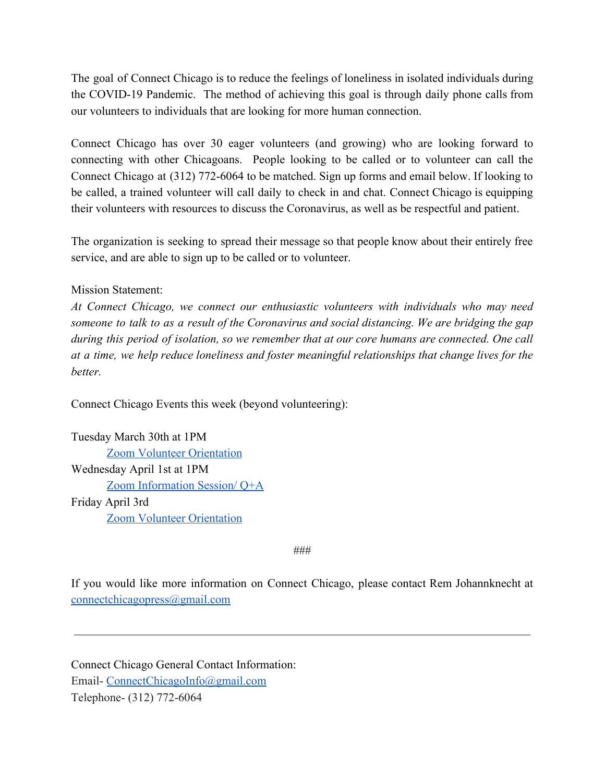The goal of Connect Chicago is to reduce the feelings of loneliness in isolated individuals during the COVID-19 Pandemic. The method of achieving this goal is through daily phone calls from our volunteers to individuals that are looking for more human connection.

Connect Chicago has over 30 eager volunteers (and growing) who are looking forward to connecting with other Chicagoans. People looking to be called or to volunteer can call the Connect Chicago at (312) 772-6064 to be matched. Sign up forms and email below. If looking to be called, a trained volunteer will call daily to check in and chat. Connect Chicago is equipping their volunteers with resources to discuss the Coronavirus, as well as be respectful and patient.

The organization is seeking to spread their message so that people know about their entirely free service, and are able to sign up to be called or to volunteer.

## Mission Statement:

*At Connect Chicago, we connect our enthusiastic volunteers with individuals who may need someone to talk to as a result of the Coronavirus and social distancing. We are bridging the gap during this period of isolation, so we remember that at our core humans are connected. One call at a time, we help reduce loneliness and foster meaningful relationships that change lives for the better.*

Connect Chicago Events this week (beyond volunteering):

Tuesday March 30th at 1PM [Zoom Volunteer Orientation](https://zoom.us/j/548513652) Wednesday April 1st at 1PM [Zoom Information Session/ Q+A](https://zoom.us/j/599578335) Friday April 3rd [Zoom Volunteer Orientation](https://zoom.us/j/897634272)

###

If you would like more information on Connect Chicago, please contact Rem Johannknecht at [connectchicagopress@gmail.com](mailto:connectchicagopress@gmail.com)

Connect Chicago General Contact Information: Email- [ConnectChicagoInfo@gmail.com](mailto:ConnectChicagoInfo@gmail.com) Telephone- (312) 772-6064